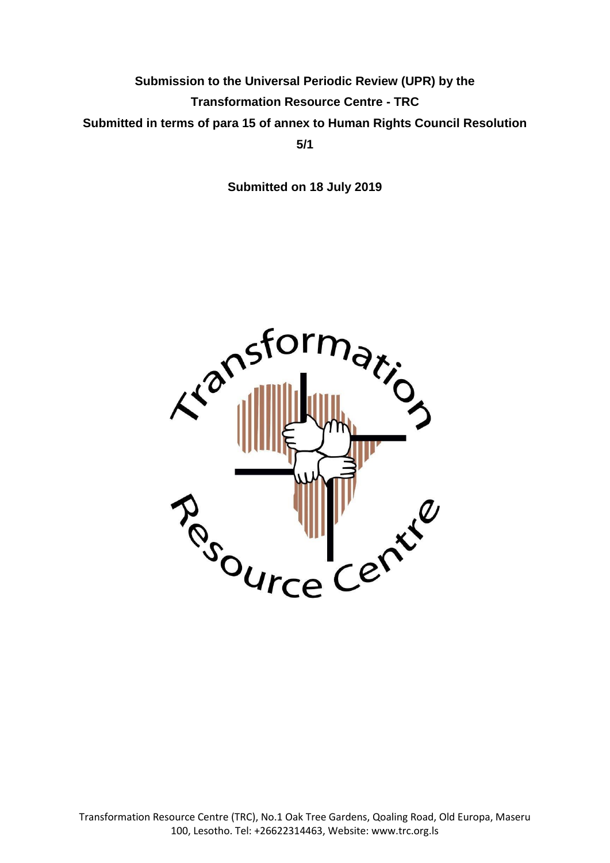# **Submission to the Universal Periodic Review (UPR) by the Transformation Resource Centre - TRC Submitted in terms of para 15 of annex to Human Rights Council Resolution 5/1**

**Submitted on 18 July 2019**

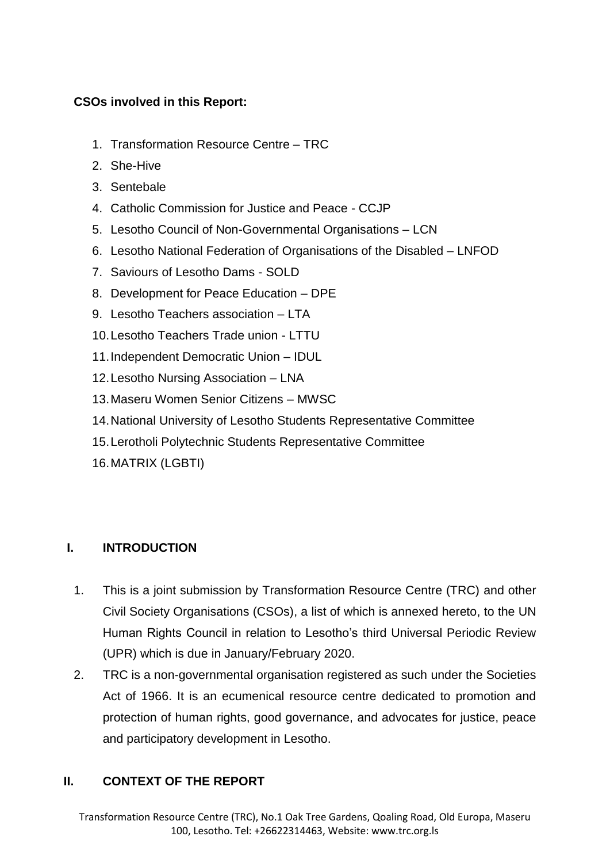# **CSOs involved in this Report:**

- 1. Transformation Resource Centre TRC
- 2. She-Hive
- 3. Sentebale
- 4. Catholic Commission for Justice and Peace CCJP
- 5. Lesotho Council of Non-Governmental Organisations LCN
- 6. Lesotho National Federation of Organisations of the Disabled LNFOD
- 7. Saviours of Lesotho Dams SOLD
- 8. Development for Peace Education DPE
- 9. Lesotho Teachers association LTA
- 10.Lesotho Teachers Trade union LTTU
- 11.Independent Democratic Union IDUL
- 12.Lesotho Nursing Association LNA
- 13.Maseru Women Senior Citizens MWSC
- 14.National University of Lesotho Students Representative Committee
- 15.Lerotholi Polytechnic Students Representative Committee
- 16.MATRIX (LGBTI)

# **I. INTRODUCTION**

- 1. This is a joint submission by Transformation Resource Centre (TRC) and other Civil Society Organisations (CSOs), a list of which is annexed hereto, to the UN Human Rights Council in relation to Lesotho's third Universal Periodic Review (UPR) which is due in January/February 2020.
- 2. TRC is a non-governmental organisation registered as such under the Societies Act of 1966. It is an ecumenical resource centre dedicated to promotion and protection of human rights, good governance, and advocates for justice, peace and participatory development in Lesotho.

# **II. CONTEXT OF THE REPORT**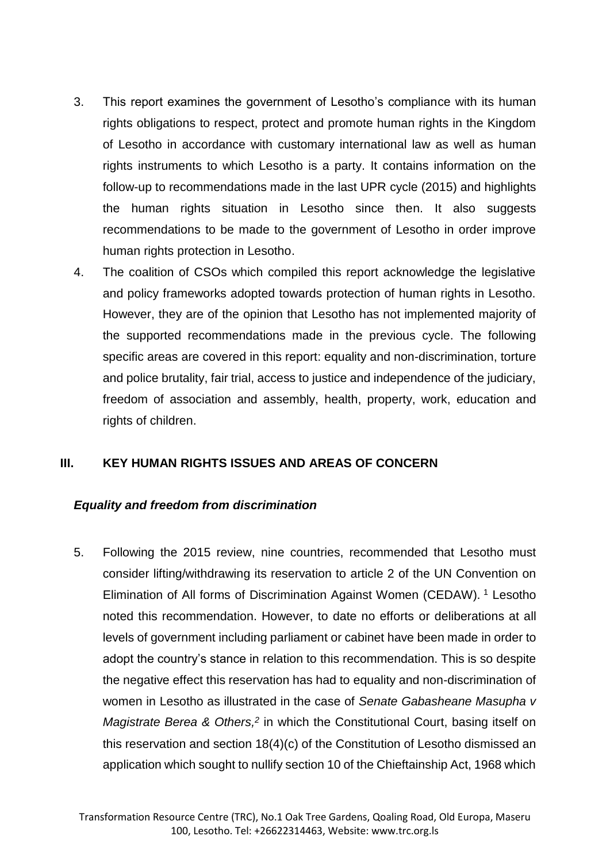- 3. This report examines the government of Lesotho's compliance with its human rights obligations to respect, protect and promote human rights in the Kingdom of Lesotho in accordance with customary international law as well as human rights instruments to which Lesotho is a party. It contains information on the follow-up to recommendations made in the last UPR cycle (2015) and highlights the human rights situation in Lesotho since then. It also suggests recommendations to be made to the government of Lesotho in order improve human rights protection in Lesotho.
- 4. The coalition of CSOs which compiled this report acknowledge the legislative and policy frameworks adopted towards protection of human rights in Lesotho. However, they are of the opinion that Lesotho has not implemented majority of the supported recommendations made in the previous cycle. The following specific areas are covered in this report: equality and non-discrimination, torture and police brutality, fair trial, access to justice and independence of the judiciary, freedom of association and assembly, health, property, work, education and rights of children.

#### **III. KEY HUMAN RIGHTS ISSUES AND AREAS OF CONCERN**

#### *Equality and freedom from discrimination*

5. Following the 2015 review, nine countries, recommended that Lesotho must consider lifting/withdrawing its reservation to article 2 of the UN Convention on Elimination of All forms of Discrimination Against Women (CEDAW). <sup>1</sup> Lesotho noted this recommendation. However, to date no efforts or deliberations at all levels of government including parliament or cabinet have been made in order to adopt the country's stance in relation to this recommendation. This is so despite the negative effect this reservation has had to equality and non-discrimination of women in Lesotho as illustrated in the case of *Senate Gabasheane Masupha v Magistrate Berea & Others*,<sup>2</sup> in which the Constitutional Court, basing itself on this reservation and section 18(4)(c) of the Constitution of Lesotho dismissed an application which sought to nullify section 10 of the Chieftainship Act, 1968 which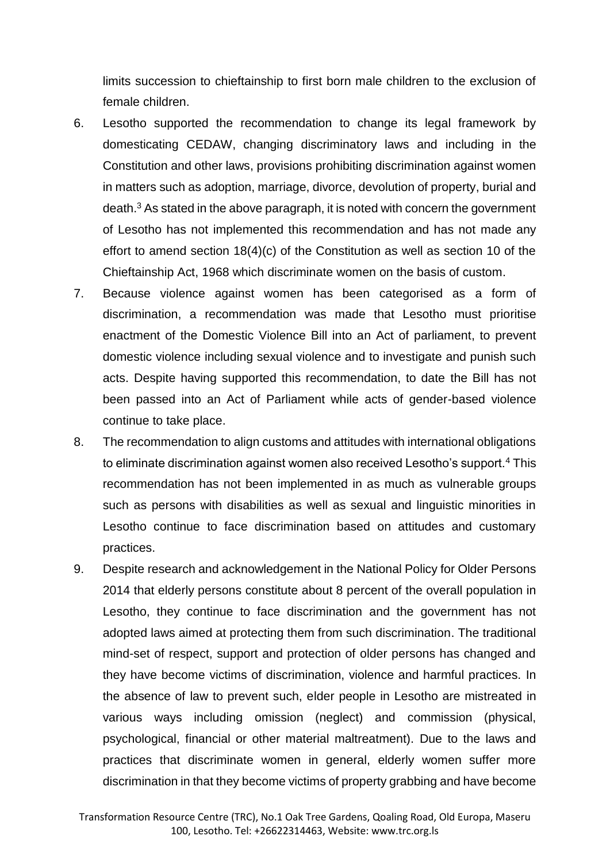limits succession to chieftainship to first born male children to the exclusion of female children.

- 6. Lesotho supported the recommendation to change its legal framework by domesticating CEDAW, changing discriminatory laws and including in the Constitution and other laws, provisions prohibiting discrimination against women in matters such as adoption, marriage, divorce, devolution of property, burial and death.<sup>3</sup> As stated in the above paragraph, it is noted with concern the government of Lesotho has not implemented this recommendation and has not made any effort to amend section 18(4)(c) of the Constitution as well as section 10 of the Chieftainship Act, 1968 which discriminate women on the basis of custom.
- 7. Because violence against women has been categorised as a form of discrimination, a recommendation was made that Lesotho must prioritise enactment of the Domestic Violence Bill into an Act of parliament, to prevent domestic violence including sexual violence and to investigate and punish such acts. Despite having supported this recommendation, to date the Bill has not been passed into an Act of Parliament while acts of gender-based violence continue to take place.
- 8. The recommendation to align customs and attitudes with international obligations to eliminate discrimination against women also received Lesotho's support.<sup>4</sup> This recommendation has not been implemented in as much as vulnerable groups such as persons with disabilities as well as sexual and linguistic minorities in Lesotho continue to face discrimination based on attitudes and customary practices.
- 9. Despite research and acknowledgement in the National Policy for Older Persons 2014 that elderly persons constitute about 8 percent of the overall population in Lesotho, they continue to face discrimination and the government has not adopted laws aimed at protecting them from such discrimination. The traditional mind-set of respect, support and protection of older persons has changed and they have become victims of discrimination, violence and harmful practices. In the absence of law to prevent such, elder people in Lesotho are mistreated in various ways including omission (neglect) and commission (physical, psychological, financial or other material maltreatment). Due to the laws and practices that discriminate women in general, elderly women suffer more discrimination in that they become victims of property grabbing and have become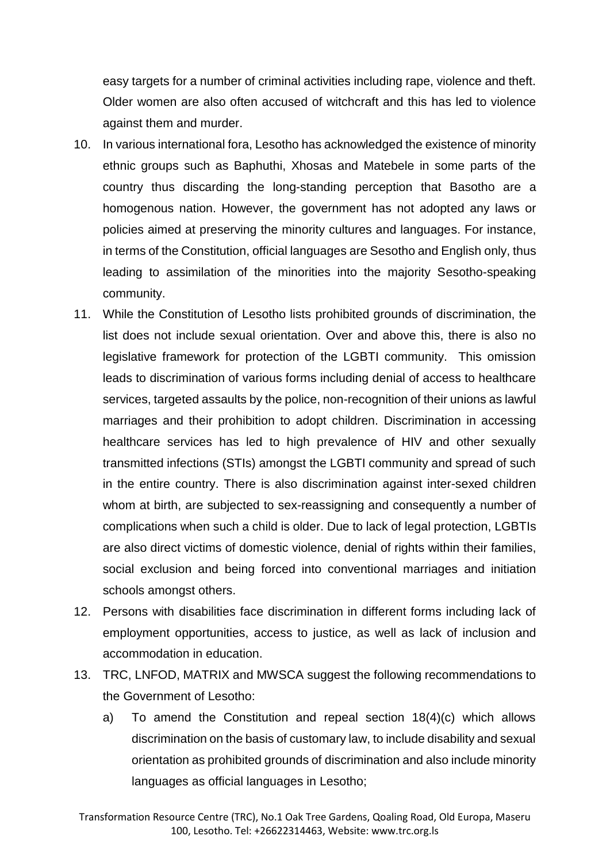easy targets for a number of criminal activities including rape, violence and theft. Older women are also often accused of witchcraft and this has led to violence against them and murder.

- 10. In various international fora, Lesotho has acknowledged the existence of minority ethnic groups such as Baphuthi, Xhosas and Matebele in some parts of the country thus discarding the long-standing perception that Basotho are a homogenous nation. However, the government has not adopted any laws or policies aimed at preserving the minority cultures and languages. For instance, in terms of the Constitution, official languages are Sesotho and English only, thus leading to assimilation of the minorities into the majority Sesotho-speaking community.
- 11. While the Constitution of Lesotho lists prohibited grounds of discrimination, the list does not include sexual orientation. Over and above this, there is also no legislative framework for protection of the LGBTI community. This omission leads to discrimination of various forms including denial of access to healthcare services, targeted assaults by the police, non-recognition of their unions as lawful marriages and their prohibition to adopt children. Discrimination in accessing healthcare services has led to high prevalence of HIV and other sexually transmitted infections (STIs) amongst the LGBTI community and spread of such in the entire country. There is also discrimination against inter-sexed children whom at birth, are subjected to sex-reassigning and consequently a number of complications when such a child is older. Due to lack of legal protection, LGBTIs are also direct victims of domestic violence, denial of rights within their families, social exclusion and being forced into conventional marriages and initiation schools amongst others.
- 12. Persons with disabilities face discrimination in different forms including lack of employment opportunities, access to justice, as well as lack of inclusion and accommodation in education.
- 13. TRC, LNFOD, MATRIX and MWSCA suggest the following recommendations to the Government of Lesotho:
	- a) To amend the Constitution and repeal section 18(4)(c) which allows discrimination on the basis of customary law, to include disability and sexual orientation as prohibited grounds of discrimination and also include minority languages as official languages in Lesotho;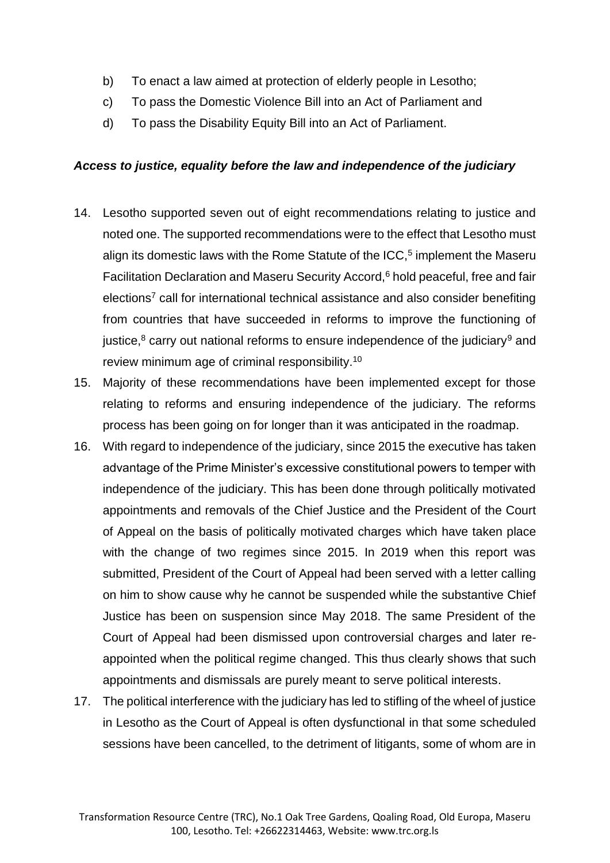- b) To enact a law aimed at protection of elderly people in Lesotho;
- c) To pass the Domestic Violence Bill into an Act of Parliament and
- d) To pass the Disability Equity Bill into an Act of Parliament.

### *Access to justice, equality before the law and independence of the judiciary*

- 14. Lesotho supported seven out of eight recommendations relating to justice and noted one. The supported recommendations were to the effect that Lesotho must align its domestic laws with the Rome Statute of the  $ICC$ ,<sup>5</sup> implement the Maseru Facilitation Declaration and Maseru Security Accord,<sup>6</sup> hold peaceful, free and fair elections<sup>7</sup> call for international technical assistance and also consider benefiting from countries that have succeeded in reforms to improve the functioning of justice, $8$  carry out national reforms to ensure independence of the judiciary<sup>9</sup> and review minimum age of criminal responsibility.<sup>10</sup>
- 15. Majority of these recommendations have been implemented except for those relating to reforms and ensuring independence of the judiciary. The reforms process has been going on for longer than it was anticipated in the roadmap.
- 16. With regard to independence of the judiciary, since 2015 the executive has taken advantage of the Prime Minister's excessive constitutional powers to temper with independence of the judiciary. This has been done through politically motivated appointments and removals of the Chief Justice and the President of the Court of Appeal on the basis of politically motivated charges which have taken place with the change of two regimes since 2015. In 2019 when this report was submitted, President of the Court of Appeal had been served with a letter calling on him to show cause why he cannot be suspended while the substantive Chief Justice has been on suspension since May 2018. The same President of the Court of Appeal had been dismissed upon controversial charges and later reappointed when the political regime changed. This thus clearly shows that such appointments and dismissals are purely meant to serve political interests.
- 17. The political interference with the judiciary has led to stifling of the wheel of justice in Lesotho as the Court of Appeal is often dysfunctional in that some scheduled sessions have been cancelled, to the detriment of litigants, some of whom are in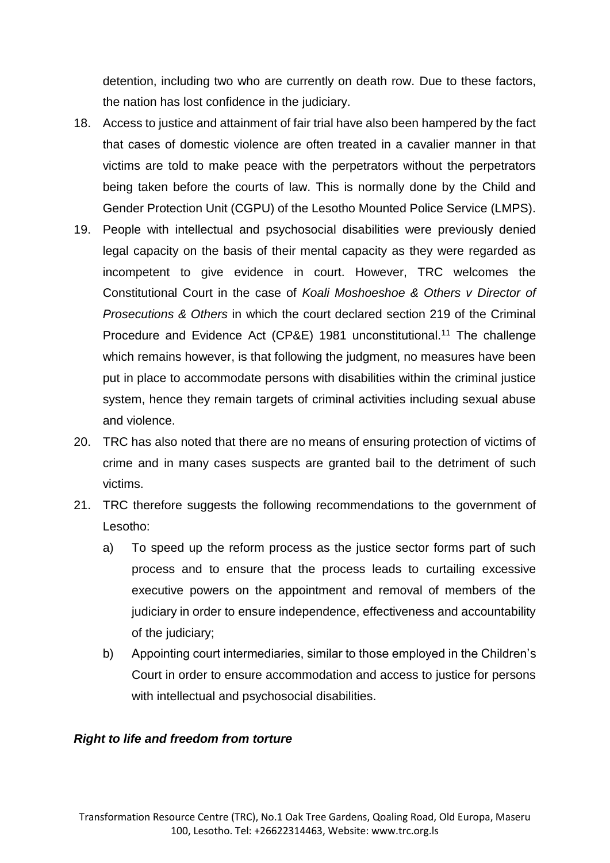detention, including two who are currently on death row. Due to these factors, the nation has lost confidence in the judiciary.

- 18. Access to justice and attainment of fair trial have also been hampered by the fact that cases of domestic violence are often treated in a cavalier manner in that victims are told to make peace with the perpetrators without the perpetrators being taken before the courts of law. This is normally done by the Child and Gender Protection Unit (CGPU) of the Lesotho Mounted Police Service (LMPS).
- 19. People with intellectual and psychosocial disabilities were previously denied legal capacity on the basis of their mental capacity as they were regarded as incompetent to give evidence in court. However, TRC welcomes the Constitutional Court in the case of *Koali Moshoeshoe & Others v Director of Prosecutions & Others* in which the court declared section 219 of the Criminal Procedure and Evidence Act (CP&E) 1981 unconstitutional.<sup>11</sup> The challenge which remains however, is that following the judgment, no measures have been put in place to accommodate persons with disabilities within the criminal justice system, hence they remain targets of criminal activities including sexual abuse and violence.
- 20. TRC has also noted that there are no means of ensuring protection of victims of crime and in many cases suspects are granted bail to the detriment of such victims.
- 21. TRC therefore suggests the following recommendations to the government of Lesotho:
	- a) To speed up the reform process as the justice sector forms part of such process and to ensure that the process leads to curtailing excessive executive powers on the appointment and removal of members of the judiciary in order to ensure independence, effectiveness and accountability of the judiciary;
	- b) Appointing court intermediaries, similar to those employed in the Children's Court in order to ensure accommodation and access to justice for persons with intellectual and psychosocial disabilities.

#### *Right to life and freedom from torture*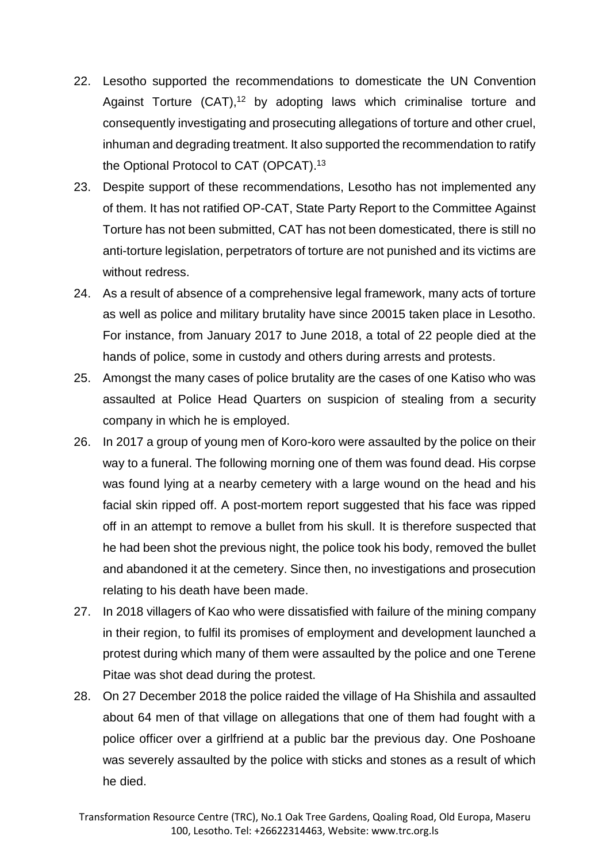- 22. Lesotho supported the recommendations to domesticate the UN Convention Against Torture  $(CAT)$ ,<sup>12</sup> by adopting laws which criminalise torture and consequently investigating and prosecuting allegations of torture and other cruel, inhuman and degrading treatment. It also supported the recommendation to ratify the Optional Protocol to CAT (OPCAT).<sup>13</sup>
- 23. Despite support of these recommendations, Lesotho has not implemented any of them. It has not ratified OP-CAT, State Party Report to the Committee Against Torture has not been submitted, CAT has not been domesticated, there is still no anti-torture legislation, perpetrators of torture are not punished and its victims are without redress.
- 24. As a result of absence of a comprehensive legal framework, many acts of torture as well as police and military brutality have since 20015 taken place in Lesotho. For instance, from January 2017 to June 2018, a total of 22 people died at the hands of police, some in custody and others during arrests and protests.
- 25. Amongst the many cases of police brutality are the cases of one Katiso who was assaulted at Police Head Quarters on suspicion of stealing from a security company in which he is employed.
- 26. In 2017 a group of young men of Koro-koro were assaulted by the police on their way to a funeral. The following morning one of them was found dead. His corpse was found lying at a nearby cemetery with a large wound on the head and his facial skin ripped off. A post-mortem report suggested that his face was ripped off in an attempt to remove a bullet from his skull. It is therefore suspected that he had been shot the previous night, the police took his body, removed the bullet and abandoned it at the cemetery. Since then, no investigations and prosecution relating to his death have been made.
- 27. In 2018 villagers of Kao who were dissatisfied with failure of the mining company in their region, to fulfil its promises of employment and development launched a protest during which many of them were assaulted by the police and one Terene Pitae was shot dead during the protest.
- 28. On 27 December 2018 the police raided the village of Ha Shishila and assaulted about 64 men of that village on allegations that one of them had fought with a police officer over a girlfriend at a public bar the previous day. One Poshoane was severely assaulted by the police with sticks and stones as a result of which he died.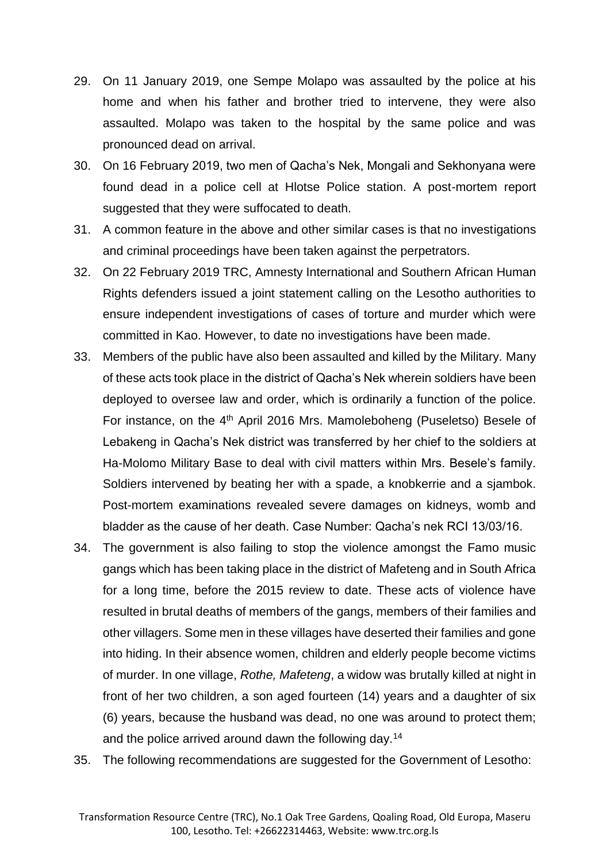- 29. On 11 January 2019, one Sempe Molapo was assaulted by the police at his home and when his father and brother tried to intervene, they were also assaulted. Molapo was taken to the hospital by the same police and was pronounced dead on arrival.
- 30. On 16 February 2019, two men of Qacha's Nek, Mongali and Sekhonyana were found dead in a police cell at Hlotse Police station. A post-mortem report suggested that they were suffocated to death.
- 31. A common feature in the above and other similar cases is that no investigations and criminal proceedings have been taken against the perpetrators.
- 32. On 22 February 2019 TRC, Amnesty International and Southern African Human Rights defenders issued a joint statement calling on the Lesotho authorities to ensure independent investigations of cases of torture and murder which were committed in Kao. However, to date no investigations have been made.
- 33. Members of the public have also been assaulted and killed by the Military. Many of these acts took place in the district of Qacha's Nek wherein soldiers have been deployed to oversee law and order, which is ordinarily a function of the police. For instance, on the 4<sup>th</sup> April 2016 Mrs. Mamoleboheng (Puseletso) Besele of Lebakeng in Qacha's Nek district was transferred by her chief to the soldiers at Ha-Molomo Military Base to deal with civil matters within Mrs. Besele's family. Soldiers intervened by beating her with a spade, a knobkerrie and a sjambok. Post-mortem examinations revealed severe damages on kidneys, womb and bladder as the cause of her death. Case Number: Qacha's nek RCI 13/03/16.
- 34. The government is also failing to stop the violence amongst the Famo music gangs which has been taking place in the district of Mafeteng and in South Africa for a long time, before the 2015 review to date. These acts of violence have resulted in brutal deaths of members of the gangs, members of their families and other villagers. Some men in these villages have deserted their families and gone into hiding. In their absence women, children and elderly people become victims of murder. In one village, *Rothe, Mafeteng*, a widow was brutally killed at night in front of her two children, a son aged fourteen (14) years and a daughter of six (6) years, because the husband was dead, no one was around to protect them; and the police arrived around dawn the following day.<sup>14</sup>
- 35. The following recommendations are suggested for the Government of Lesotho: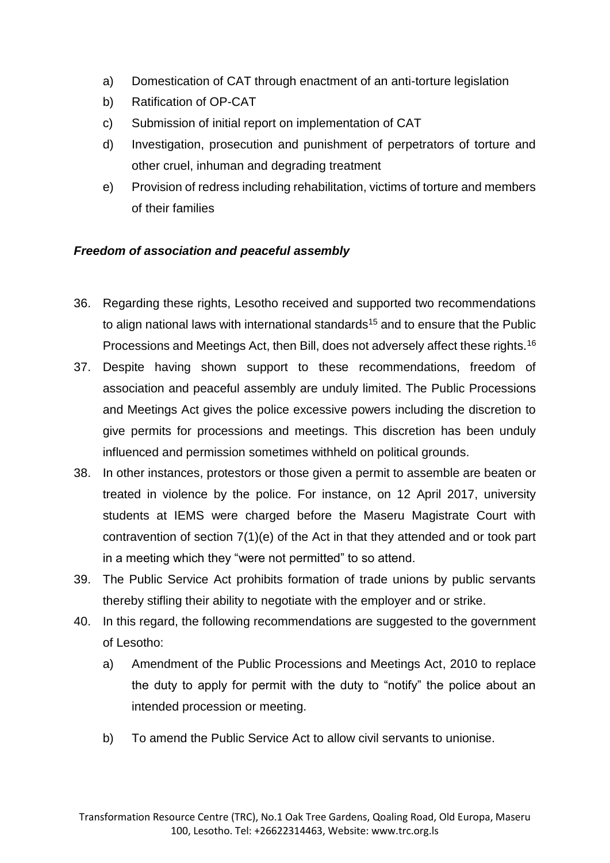- a) Domestication of CAT through enactment of an anti-torture legislation
- b) Ratification of OP-CAT
- c) Submission of initial report on implementation of CAT
- d) Investigation, prosecution and punishment of perpetrators of torture and other cruel, inhuman and degrading treatment
- e) Provision of redress including rehabilitation, victims of torture and members of their families

### *Freedom of association and peaceful assembly*

- 36. Regarding these rights, Lesotho received and supported two recommendations to align national laws with international standards<sup>15</sup> and to ensure that the Public Processions and Meetings Act, then Bill, does not adversely affect these rights.<sup>16</sup>
- 37. Despite having shown support to these recommendations, freedom of association and peaceful assembly are unduly limited. The Public Processions and Meetings Act gives the police excessive powers including the discretion to give permits for processions and meetings. This discretion has been unduly influenced and permission sometimes withheld on political grounds.
- 38. In other instances, protestors or those given a permit to assemble are beaten or treated in violence by the police. For instance, on 12 April 2017, university students at IEMS were charged before the Maseru Magistrate Court with contravention of section 7(1)(e) of the Act in that they attended and or took part in a meeting which they "were not permitted" to so attend.
- 39. The Public Service Act prohibits formation of trade unions by public servants thereby stifling their ability to negotiate with the employer and or strike.
- 40. In this regard, the following recommendations are suggested to the government of Lesotho:
	- a) Amendment of the Public Processions and Meetings Act, 2010 to replace the duty to apply for permit with the duty to "notify" the police about an intended procession or meeting.
	- b) To amend the Public Service Act to allow civil servants to unionise.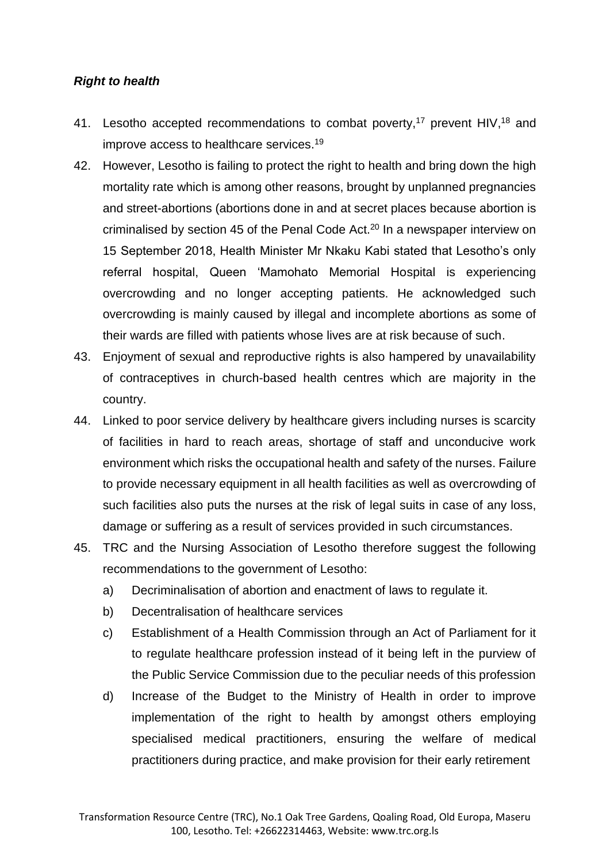### *Right to health*

- 41. Lesotho accepted recommendations to combat poverty,<sup>17</sup> prevent HIV,<sup>18</sup> and improve access to healthcare services. 19
- 42. However, Lesotho is failing to protect the right to health and bring down the high mortality rate which is among other reasons, brought by unplanned pregnancies and street-abortions (abortions done in and at secret places because abortion is criminalised by section 45 of the Penal Code Act.<sup>20</sup> In a newspaper interview on 15 September 2018, Health Minister Mr Nkaku Kabi stated that Lesotho's only referral hospital, Queen 'Mamohato Memorial Hospital is experiencing overcrowding and no longer accepting patients. He acknowledged such overcrowding is mainly caused by illegal and incomplete abortions as some of their wards are filled with patients whose lives are at risk because of such.
- 43. Enjoyment of sexual and reproductive rights is also hampered by unavailability of contraceptives in church-based health centres which are majority in the country.
- 44. Linked to poor service delivery by healthcare givers including nurses is scarcity of facilities in hard to reach areas, shortage of staff and unconducive work environment which risks the occupational health and safety of the nurses. Failure to provide necessary equipment in all health facilities as well as overcrowding of such facilities also puts the nurses at the risk of legal suits in case of any loss, damage or suffering as a result of services provided in such circumstances.
- 45. TRC and the Nursing Association of Lesotho therefore suggest the following recommendations to the government of Lesotho:
	- a) Decriminalisation of abortion and enactment of laws to regulate it.
	- b) Decentralisation of healthcare services
	- c) Establishment of a Health Commission through an Act of Parliament for it to regulate healthcare profession instead of it being left in the purview of the Public Service Commission due to the peculiar needs of this profession
	- d) Increase of the Budget to the Ministry of Health in order to improve implementation of the right to health by amongst others employing specialised medical practitioners, ensuring the welfare of medical practitioners during practice, and make provision for their early retirement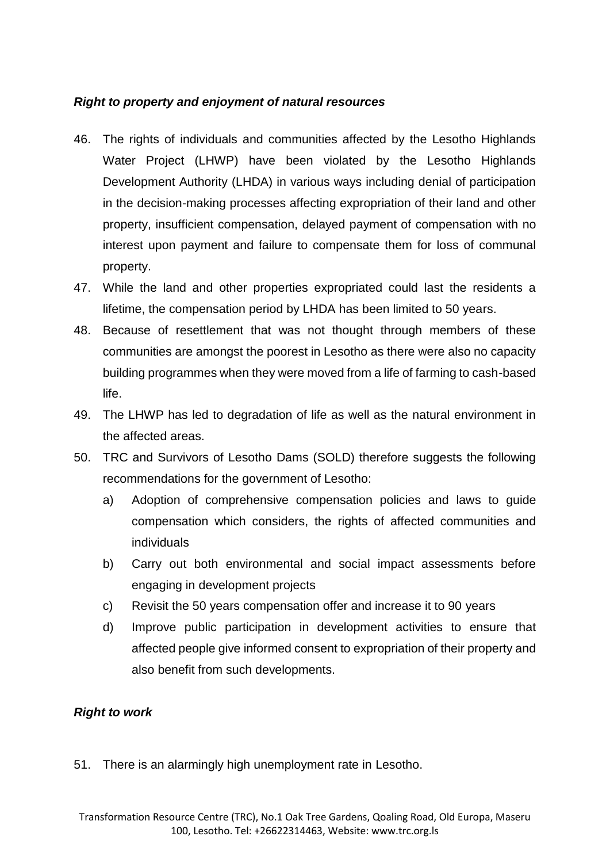# *Right to property and enjoyment of natural resources*

- 46. The rights of individuals and communities affected by the Lesotho Highlands Water Project (LHWP) have been violated by the Lesotho Highlands Development Authority (LHDA) in various ways including denial of participation in the decision-making processes affecting expropriation of their land and other property, insufficient compensation, delayed payment of compensation with no interest upon payment and failure to compensate them for loss of communal property.
- 47. While the land and other properties expropriated could last the residents a lifetime, the compensation period by LHDA has been limited to 50 years.
- 48. Because of resettlement that was not thought through members of these communities are amongst the poorest in Lesotho as there were also no capacity building programmes when they were moved from a life of farming to cash-based life.
- 49. The LHWP has led to degradation of life as well as the natural environment in the affected areas.
- 50. TRC and Survivors of Lesotho Dams (SOLD) therefore suggests the following recommendations for the government of Lesotho:
	- a) Adoption of comprehensive compensation policies and laws to guide compensation which considers, the rights of affected communities and individuals
	- b) Carry out both environmental and social impact assessments before engaging in development projects
	- c) Revisit the 50 years compensation offer and increase it to 90 years
	- d) Improve public participation in development activities to ensure that affected people give informed consent to expropriation of their property and also benefit from such developments.

### *Right to work*

51. There is an alarmingly high unemployment rate in Lesotho.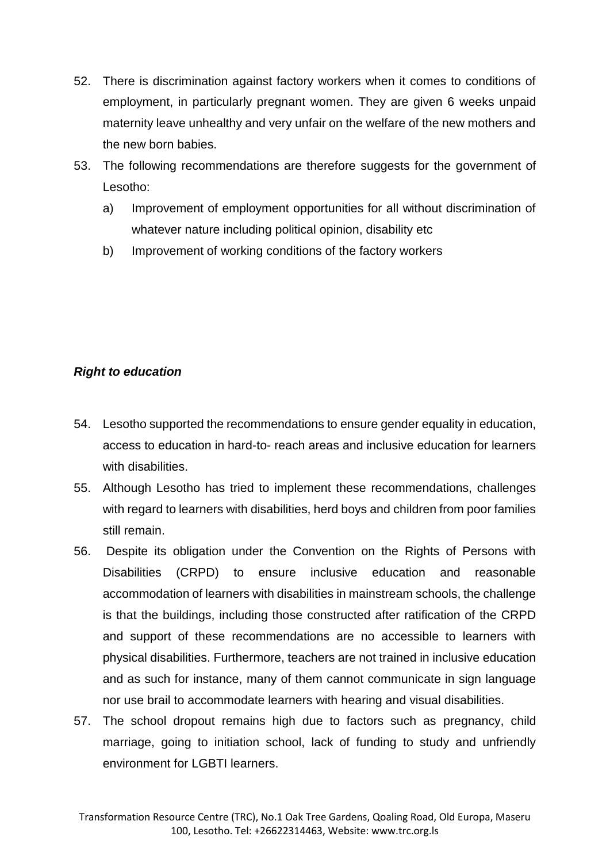- 52. There is discrimination against factory workers when it comes to conditions of employment, in particularly pregnant women. They are given 6 weeks unpaid maternity leave unhealthy and very unfair on the welfare of the new mothers and the new born babies.
- 53. The following recommendations are therefore suggests for the government of Lesotho:
	- a) Improvement of employment opportunities for all without discrimination of whatever nature including political opinion, disability etc
	- b) Improvement of working conditions of the factory workers

# *Right to education*

- 54. Lesotho supported the recommendations to ensure gender equality in education, access to education in hard-to- reach areas and inclusive education for learners with disabilities.
- 55. Although Lesotho has tried to implement these recommendations, challenges with regard to learners with disabilities, herd boys and children from poor families still remain.
- 56. Despite its obligation under the Convention on the Rights of Persons with Disabilities (CRPD) to ensure inclusive education and reasonable accommodation of learners with disabilities in mainstream schools, the challenge is that the buildings, including those constructed after ratification of the CRPD and support of these recommendations are no accessible to learners with physical disabilities. Furthermore, teachers are not trained in inclusive education and as such for instance, many of them cannot communicate in sign language nor use brail to accommodate learners with hearing and visual disabilities.
- 57. The school dropout remains high due to factors such as pregnancy, child marriage, going to initiation school, lack of funding to study and unfriendly environment for LGBTI learners.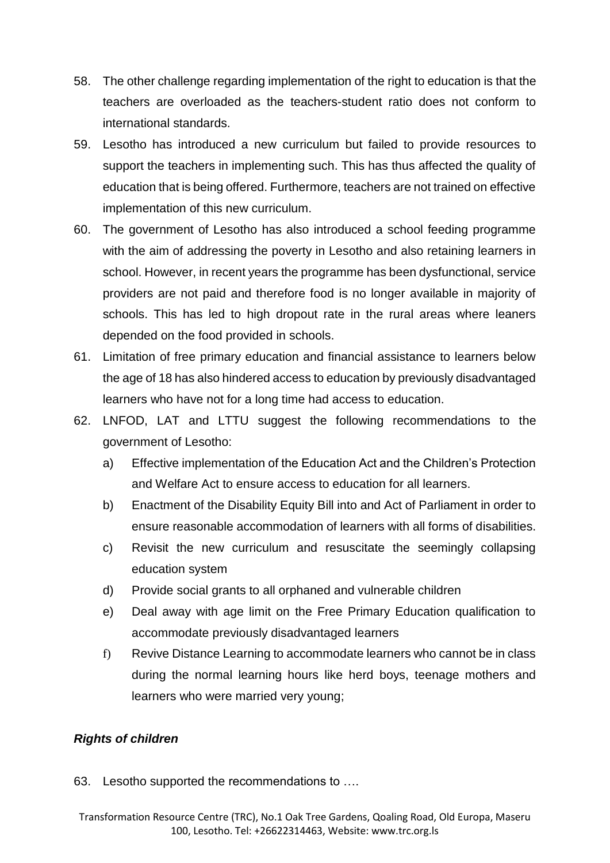- 58. The other challenge regarding implementation of the right to education is that the teachers are overloaded as the teachers-student ratio does not conform to international standards.
- 59. Lesotho has introduced a new curriculum but failed to provide resources to support the teachers in implementing such. This has thus affected the quality of education that is being offered. Furthermore, teachers are not trained on effective implementation of this new curriculum.
- 60. The government of Lesotho has also introduced a school feeding programme with the aim of addressing the poverty in Lesotho and also retaining learners in school. However, in recent years the programme has been dysfunctional, service providers are not paid and therefore food is no longer available in majority of schools. This has led to high dropout rate in the rural areas where leaners depended on the food provided in schools.
- 61. Limitation of free primary education and financial assistance to learners below the age of 18 has also hindered access to education by previously disadvantaged learners who have not for a long time had access to education.
- 62. LNFOD, LAT and LTTU suggest the following recommendations to the government of Lesotho:
	- a) Effective implementation of the Education Act and the Children's Protection and Welfare Act to ensure access to education for all learners.
	- b) Enactment of the Disability Equity Bill into and Act of Parliament in order to ensure reasonable accommodation of learners with all forms of disabilities.
	- c) Revisit the new curriculum and resuscitate the seemingly collapsing education system
	- d) Provide social grants to all orphaned and vulnerable children
	- e) Deal away with age limit on the Free Primary Education qualification to accommodate previously disadvantaged learners
	- f) Revive Distance Learning to accommodate learners who cannot be in class during the normal learning hours like herd boys, teenage mothers and learners who were married very young;

### *Rights of children*

63. Lesotho supported the recommendations to ….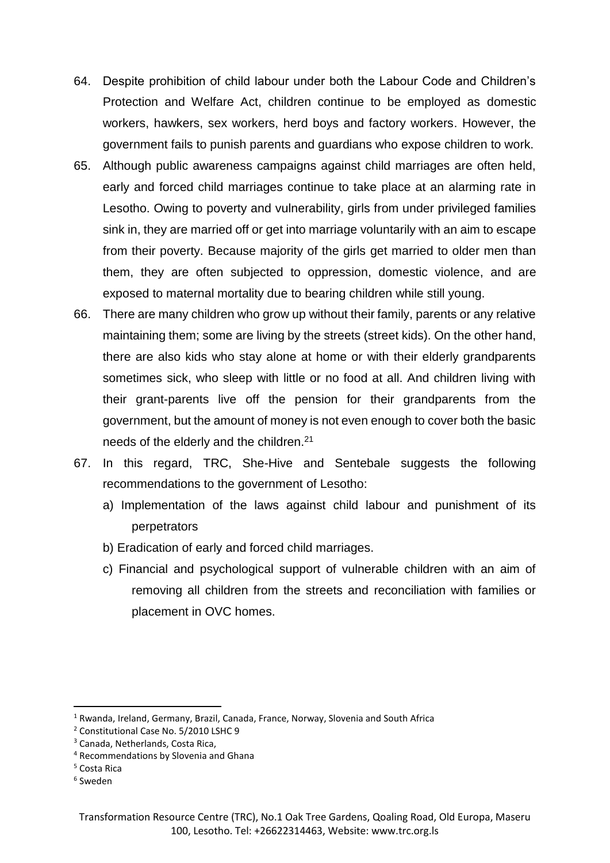- 64. Despite prohibition of child labour under both the Labour Code and Children's Protection and Welfare Act, children continue to be employed as domestic workers, hawkers, sex workers, herd boys and factory workers. However, the government fails to punish parents and guardians who expose children to work.
- 65. Although public awareness campaigns against child marriages are often held, early and forced child marriages continue to take place at an alarming rate in Lesotho. Owing to poverty and vulnerability, girls from under privileged families sink in, they are married off or get into marriage voluntarily with an aim to escape from their poverty. Because majority of the girls get married to older men than them, they are often subjected to oppression, domestic violence, and are exposed to maternal mortality due to bearing children while still young.
- 66. There are many children who grow up without their family, parents or any relative maintaining them; some are living by the streets (street kids). On the other hand, there are also kids who stay alone at home or with their elderly grandparents sometimes sick, who sleep with little or no food at all. And children living with their grant-parents live off the pension for their grandparents from the government, but the amount of money is not even enough to cover both the basic needs of the elderly and the children.<sup>21</sup>
- 67. In this regard, TRC, She-Hive and Sentebale suggests the following recommendations to the government of Lesotho:
	- a) Implementation of the laws against child labour and punishment of its perpetrators
	- b) Eradication of early and forced child marriages.
	- c) Financial and psychological support of vulnerable children with an aim of removing all children from the streets and reconciliation with families or placement in OVC homes.

**.** 

<sup>&</sup>lt;sup>1</sup> Rwanda, Ireland, Germany, Brazil, Canada, France, Norway, Slovenia and South Africa

<sup>2</sup> Constitutional Case No. 5/2010 LSHC 9

<sup>3</sup> Canada, Netherlands, Costa Rica,

<sup>4</sup> Recommendations by Slovenia and Ghana

<sup>5</sup> Costa Rica

<sup>6</sup> Sweden